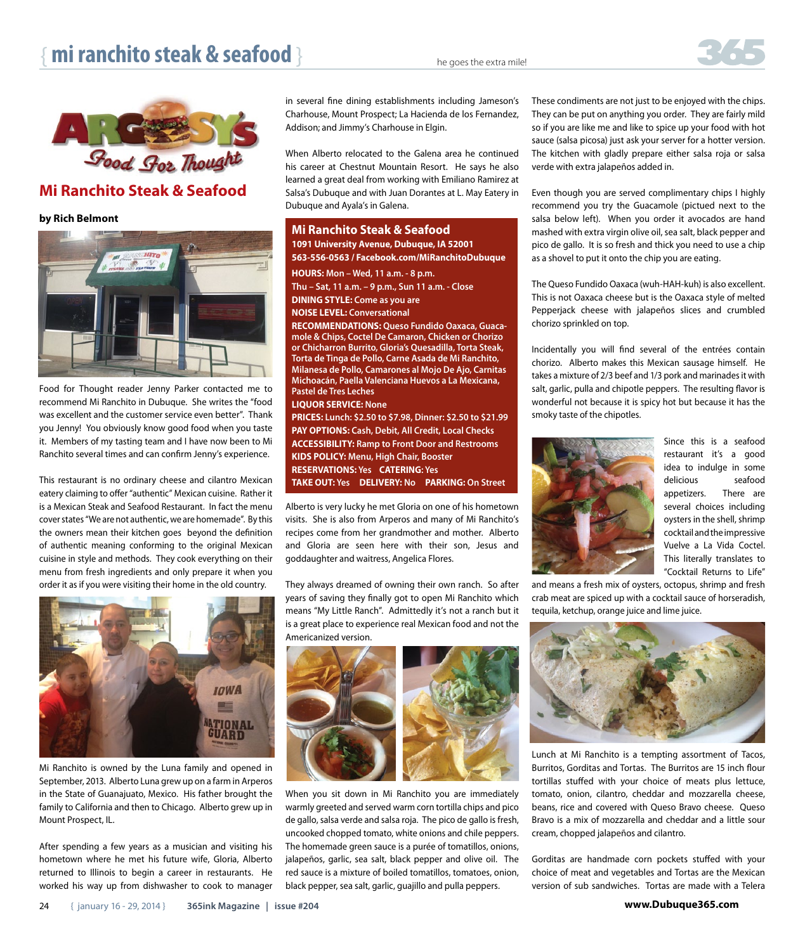# **mi ranchito steak & seafood** } he goes the extra mile!





### **Mi Ranchito Steak & Seafood**

#### **by Rich Belmont**



Food for Thought reader Jenny Parker contacted me to recommend Mi Ranchito in Dubuque. She writes the "food was excellent and the customer service even better". Thank you Jenny! You obviously know good food when you taste it. Members of my tasting team and I have now been to Mi Ranchito several times and can confirm Jenny's experience.

This restaurant is no ordinary cheese and cilantro Mexican eatery claiming to offer "authentic" Mexican cuisine. Rather it is a Mexican Steak and Seafood Restaurant. In fact the menu cover states "We are not authentic, we are homemade". By this the owners mean their kitchen goes beyond the definition of authentic meaning conforming to the original Mexican cuisine in style and methods. They cook everything on their menu from fresh ingredients and only prepare it when you order it as if you were visiting their home in the old country.



Mi Ranchito is owned by the Luna family and opened in September, 2013. Alberto Luna grew up on a farm in Arperos in the State of Guanajuato, Mexico. His father brought the family to California and then to Chicago. Alberto grew up in Mount Prospect, IL.

After spending a few years as a musician and visiting his hometown where he met his future wife, Gloria, Alberto returned to Illinois to begin a career in restaurants. He worked his way up from dishwasher to cook to manager

in several fine dining establishments including Jameson's Charhouse, Mount Prospect; La Hacienda de los Fernandez, Addison; and Jimmy's Charhouse in Elgin.

When Alberto relocated to the Galena area he continued his career at Chestnut Mountain Resort. He says he also learned a great deal from working with Emiliano Ramirez at Salsa's Dubuque and with Juan Dorantes at L. May Eatery in Dubuque and Ayala's in Galena.

#### **Mi Ranchito Steak & Seafood 1091 University Avenue, Dubuque, IA 52001 563-556-0563 / Facebook.com/MiRanchitoDubuque**

**HOURS: Mon – Wed, 11 a.m. - 8 p.m. Thu – Sat, 11 a.m. – 9 p.m., Sun 11 a.m. - Close DINING STYLE: Come as you are NOISE LEVEL: Conversational RECOMMENDATIONS: Queso Fundido Oaxaca, Guacamole & Chips, Coctel De Camaron, Chicken or Chorizo or Chicharron Burrito, Gloria's Quesadilla, Torta Steak, Torta de Tinga de Pollo, Carne Asada de Mi Ranchito, Milanesa de Pollo, Camarones al Mojo De Ajo, Carnitas Michoacán, Paella Valenciana Huevos a La Mexicana, Pastel de Tres Leches LIQUOR SERVICE: None PRICES: Lunch: \$2.50 to \$7.98, Dinner: \$2.50 to \$21.99 PAY OPTIONS: Cash, Debit, All Credit, Local Checks ACCESSIBILITY: Ramp to Front Door and Restrooms KIDS POLICY: Menu, High Chair, Booster RESERVATIONS: Yes CATERING: Yes TAKE OUT: Yes DELIVERY: No PARKING: On Street**

Alberto is very lucky he met Gloria on one of his hometown visits. She is also from Arperos and many of Mi Ranchito's recipes come from her grandmother and mother. Alberto and Gloria are seen here with their son, Jesus and goddaughter and waitress, Angelica Flores.

They always dreamed of owning their own ranch. So after years of saving they finally got to open Mi Ranchito which means "My Little Ranch". Admittedly it's not a ranch but it is a great place to experience real Mexican food and not the Americanized version.



When you sit down in Mi Ranchito you are immediately warmly greeted and served warm corn tortilla chips and pico de gallo, salsa verde and salsa roja. The pico de gallo is fresh, uncooked chopped tomato, white onions and chile peppers. The homemade green sauce is a purée of tomatillos, onions, jalapeños, garlic, sea salt, black pepper and olive oil. The red sauce is a mixture of boiled tomatillos, tomatoes, onion, black pepper, sea salt, garlic, guajillo and pulla peppers.

These condiments are not just to be enjoyed with the chips. They can be put on anything you order. They are fairly mild so if you are like me and like to spice up your food with hot sauce (salsa picosa) just ask your server for a hotter version. The kitchen with gladly prepare either salsa roja or salsa verde with extra jalapeños added in.

Even though you are served complimentary chips I highly recommend you try the Guacamole (pictued next to the salsa below left). When you order it avocados are hand mashed with extra virgin olive oil, sea salt, black pepper and pico de gallo. It is so fresh and thick you need to use a chip as a shovel to put it onto the chip you are eating.

The Queso Fundido Oaxaca (wuh-HAH-kuh) is also excellent. This is not Oaxaca cheese but is the Oaxaca style of melted Pepperjack cheese with jalapeños slices and crumbled chorizo sprinkled on top.

Incidentally you will find several of the entrées contain chorizo. Alberto makes this Mexican sausage himself. He takes a mixture of 2/3 beef and 1/3 pork and marinades it with salt, garlic, pulla and chipotle peppers. The resulting flavor is wonderful not because it is spicy hot but because it has the smoky taste of the chipotles.



Since this is a seafood restaurant it's a good idea to indulge in some delicious seafood appetizers. There are several choices including oysters in the shell, shrimp cocktail and the impressive Vuelve a La Vida Coctel. This literally translates to "Cocktail Returns to Life"

and means a fresh mix of oysters, octopus, shrimp and fresh crab meat are spiced up with a cocktail sauce of horseradish, tequila, ketchup, orange juice and lime juice.



Lunch at Mi Ranchito is a tempting assortment of Tacos, Burritos, Gorditas and Tortas. The Burritos are 15 inch flour tortillas stuffed with your choice of meats plus lettuce, tomato, onion, cilantro, cheddar and mozzarella cheese, beans, rice and covered with Queso Bravo cheese. Queso Bravo is a mix of mozzarella and cheddar and a little sour cream, chopped jalapeños and cilantro.

Gorditas are handmade corn pockets stuffed with your choice of meat and vegetables and Tortas are the Mexican version of sub sandwiches. Tortas are made with a Telera